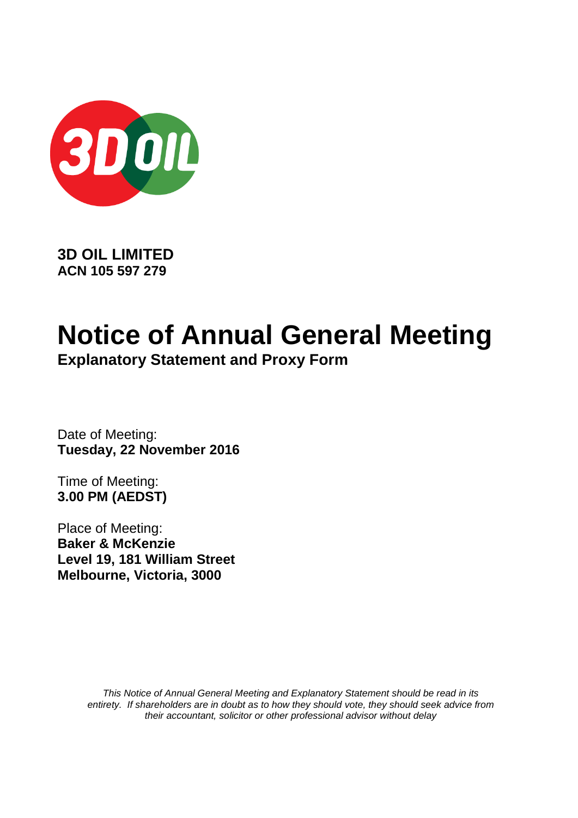

**3D OIL LIMITED ACN 105 597 279**

# **Notice of Annual General Meeting**

**Explanatory Statement and Proxy Form**

Date of Meeting: **Tuesday, 22 November 2016**

Time of Meeting: **3.00 PM (AEDST)** 

Place of Meeting: **Baker & McKenzie Level 19, 181 William Street Melbourne, Victoria, 3000**

> *This Notice of Annual General Meeting and Explanatory Statement should be read in its entirety. If shareholders are in doubt as to how they should vote, they should seek advice from their accountant, solicitor or other professional advisor without delay*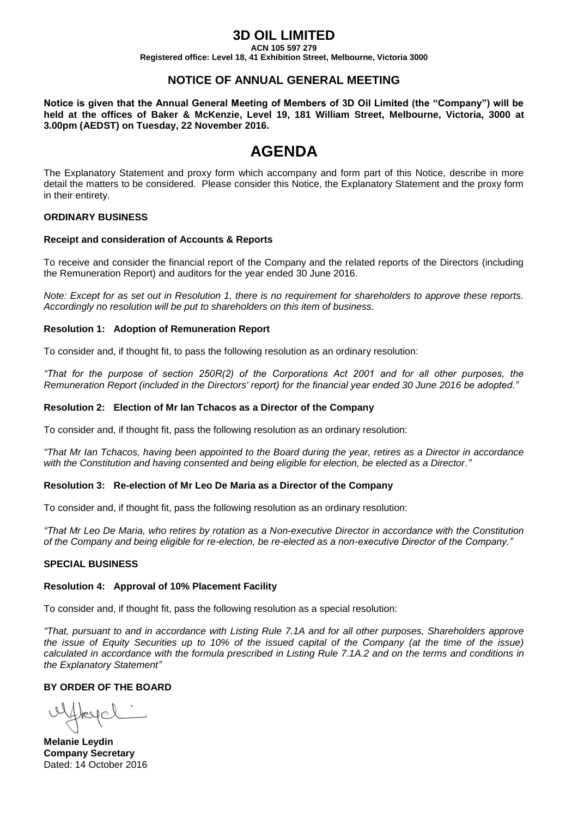## **3D OIL LIMITED**

**ACN 105 597 279**

**Registered office: Level 18, 41 Exhibition Street, Melbourne, Victoria 3000**

### **NOTICE OF ANNUAL GENERAL MEETING**

**Notice is given that the Annual General Meeting of Members of 3D Oil Limited (the "Company") will be held at the offices of Baker & McKenzie, Level 19, 181 William Street, Melbourne, Victoria, 3000 at 3.00pm (AEDST) on Tuesday, 22 November 2016.**

## **AGENDA**

The Explanatory Statement and proxy form which accompany and form part of this Notice, describe in more detail the matters to be considered. Please consider this Notice, the Explanatory Statement and the proxy form in their entirety.

#### **ORDINARY BUSINESS**

#### **Receipt and consideration of Accounts & Reports**

To receive and consider the financial report of the Company and the related reports of the Directors (including the Remuneration Report) and auditors for the year ended 30 June 2016.

*Note: Except for as set out in Resolution 1, there is no requirement for shareholders to approve these reports. Accordingly no resolution will be put to shareholders on this item of business.*

#### **Resolution 1: Adoption of Remuneration Report**

To consider and, if thought fit, to pass the following resolution as an ordinary resolution:

*"That for the purpose of section 250R(2) of the Corporations Act 2001 and for all other purposes, the Remuneration Report (included in the Directors' report) for the financial year ended 30 June 2016 be adopted."*

#### **Resolution 2: Election of Mr Ian Tchacos as a Director of the Company**

To consider and, if thought fit, pass the following resolution as an ordinary resolution:

*"That Mr Ian Tchacos, having been appointed to the Board during the year, retires as a Director in accordance with the Constitution and having consented and being eligible for election, be elected as a Director."*

#### **Resolution 3: Re-election of Mr Leo De Maria as a Director of the Company**

To consider and, if thought fit, pass the following resolution as an ordinary resolution:

*"That Mr Leo De Maria, who retires by rotation as a Non-executive Director in accordance with the Constitution of the Company and being eligible for re-election, be re-elected as a non-executive Director of the Company."*

#### **SPECIAL BUSINESS**

#### **Resolution 4: Approval of 10% Placement Facility**

To consider and, if thought fit, pass the following resolution as a special resolution:

*"That, pursuant to and in accordance with Listing Rule 7.1A and for all other purposes, Shareholders approve the issue of Equity Securities up to 10% of the issued capital of the Company (at the time of the issue) calculated in accordance with the formula prescribed in Listing Rule 7.1A.2 and on the terms and conditions in the Explanatory Statement"*

#### **BY ORDER OF THE BOARD**

uffreyal

**Melanie Leydin Company Secretary** Dated: 14 October 2016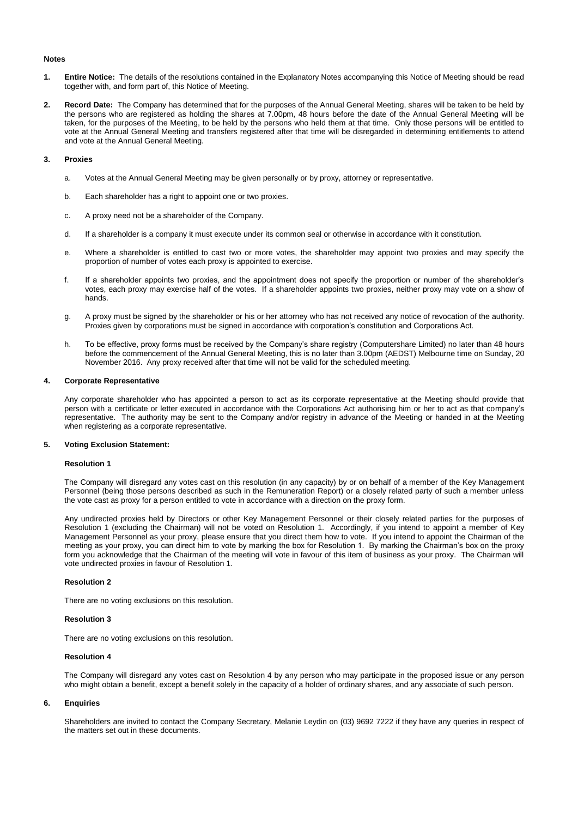#### **Notes**

- **1. Entire Notice:** The details of the resolutions contained in the Explanatory Notes accompanying this Notice of Meeting should be read together with, and form part of, this Notice of Meeting.
- **2. Record Date:** The Company has determined that for the purposes of the Annual General Meeting, shares will be taken to be held by the persons who are registered as holding the shares at 7.00pm, 48 hours before the date of the Annual General Meeting will be taken, for the purposes of the Meeting, to be held by the persons who held them at that time. Only those persons will be entitled to vote at the Annual General Meeting and transfers registered after that time will be disregarded in determining entitlements to attend and vote at the Annual General Meeting.

#### **3. Proxies**

- a. Votes at the Annual General Meeting may be given personally or by proxy, attorney or representative.
- b. Each shareholder has a right to appoint one or two proxies.
- c. A proxy need not be a shareholder of the Company.
- d. If a shareholder is a company it must execute under its common seal or otherwise in accordance with it constitution.
- e. Where a shareholder is entitled to cast two or more votes, the shareholder may appoint two proxies and may specify the proportion of number of votes each proxy is appointed to exercise.
- f. If a shareholder appoints two proxies, and the appointment does not specify the proportion or number of the shareholder's votes, each proxy may exercise half of the votes. If a shareholder appoints two proxies, neither proxy may vote on a show of hands.
- g. A proxy must be signed by the shareholder or his or her attorney who has not received any notice of revocation of the authority. Proxies given by corporations must be signed in accordance with corporation's constitution and Corporations Act.
- h. To be effective, proxy forms must be received by the Company's share registry (Computershare Limited) no later than 48 hours before the commencement of the Annual General Meeting, this is no later than 3.00pm (AEDST) Melbourne time on Sunday, 20 November 2016. Any proxy received after that time will not be valid for the scheduled meeting.

#### **4. Corporate Representative**

Any corporate shareholder who has appointed a person to act as its corporate representative at the Meeting should provide that person with a certificate or letter executed in accordance with the Corporations Act authorising him or her to act as that company's representative. The authority may be sent to the Company and/or registry in advance of the Meeting or handed in at the Meeting when registering as a corporate representative.

#### **5. Voting Exclusion Statement:**

#### **Resolution 1**

The Company will disregard any votes cast on this resolution (in any capacity) by or on behalf of a member of the Key Management Personnel (being those persons described as such in the Remuneration Report) or a closely related party of such a member unless the vote cast as proxy for a person entitled to vote in accordance with a direction on the proxy form.

Any undirected proxies held by Directors or other Key Management Personnel or their closely related parties for the purposes of Resolution 1 (excluding the Chairman) will not be voted on Resolution 1. Accordingly, if you intend to appoint a member of Key Management Personnel as your proxy, please ensure that you direct them how to vote. If you intend to appoint the Chairman of the meeting as your proxy, you can direct him to vote by marking the box for Resolution 1. By marking the Chairman's box on the proxy form you acknowledge that the Chairman of the meeting will vote in favour of this item of business as your proxy. The Chairman will vote undirected proxies in favour of Resolution 1.

#### **Resolution 2**

There are no voting exclusions on this resolution.

#### **Resolution 3**

There are no voting exclusions on this resolution.

#### **Resolution 4**

The Company will disregard any votes cast on Resolution 4 by any person who may participate in the proposed issue or any person who might obtain a benefit, except a benefit solely in the capacity of a holder of ordinary shares, and any associate of such person.

#### **6. Enquiries**

Shareholders are invited to contact the Company Secretary, Melanie Leydin on (03) 9692 7222 if they have any queries in respect of the matters set out in these documents.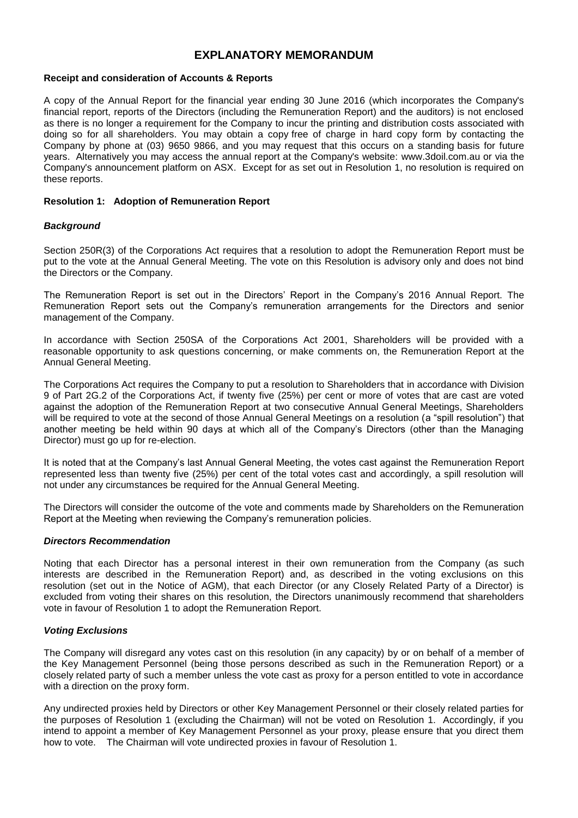## **EXPLANATORY MEMORANDUM**

#### **Receipt and consideration of Accounts & Reports**

A copy of the Annual Report for the financial year ending 30 June 2016 (which incorporates the Company's financial report, reports of the Directors (including the Remuneration Report) and the auditors) is not enclosed as there is no longer a requirement for the Company to incur the printing and distribution costs associated with doing so for all shareholders. You may obtain a copy free of charge in hard copy form by contacting the Company by phone at (03) 9650 9866, and you may request that this occurs on a standing basis for future years. Alternatively you may access the annual report at the Company's website: www.3doil.com.au or via the Company's announcement platform on ASX. Except for as set out in Resolution 1, no resolution is required on these reports.

#### **Resolution 1: Adoption of Remuneration Report**

#### *Background*

Section 250R(3) of the Corporations Act requires that a resolution to adopt the Remuneration Report must be put to the vote at the Annual General Meeting. The vote on this Resolution is advisory only and does not bind the Directors or the Company.

The Remuneration Report is set out in the Directors' Report in the Company's 2016 Annual Report. The Remuneration Report sets out the Company's remuneration arrangements for the Directors and senior management of the Company.

In accordance with Section 250SA of the Corporations Act 2001, Shareholders will be provided with a reasonable opportunity to ask questions concerning, or make comments on, the Remuneration Report at the Annual General Meeting.

The Corporations Act requires the Company to put a resolution to Shareholders that in accordance with Division 9 of Part 2G.2 of the Corporations Act, if twenty five (25%) per cent or more of votes that are cast are voted against the adoption of the Remuneration Report at two consecutive Annual General Meetings, Shareholders will be required to vote at the second of those Annual General Meetings on a resolution (a "spill resolution") that another meeting be held within 90 days at which all of the Company's Directors (other than the Managing Director) must go up for re-election.

It is noted that at the Company's last Annual General Meeting, the votes cast against the Remuneration Report represented less than twenty five (25%) per cent of the total votes cast and accordingly, a spill resolution will not under any circumstances be required for the Annual General Meeting.

The Directors will consider the outcome of the vote and comments made by Shareholders on the Remuneration Report at the Meeting when reviewing the Company's remuneration policies.

#### *Directors Recommendation*

Noting that each Director has a personal interest in their own remuneration from the Company (as such interests are described in the Remuneration Report) and, as described in the voting exclusions on this resolution (set out in the Notice of AGM), that each Director (or any Closely Related Party of a Director) is excluded from voting their shares on this resolution, the Directors unanimously recommend that shareholders vote in favour of Resolution 1 to adopt the Remuneration Report.

#### *Voting Exclusions*

The Company will disregard any votes cast on this resolution (in any capacity) by or on behalf of a member of the Key Management Personnel (being those persons described as such in the Remuneration Report) or a closely related party of such a member unless the vote cast as proxy for a person entitled to vote in accordance with a direction on the proxy form.

Any undirected proxies held by Directors or other Key Management Personnel or their closely related parties for the purposes of Resolution 1 (excluding the Chairman) will not be voted on Resolution 1. Accordingly, if you intend to appoint a member of Key Management Personnel as your proxy, please ensure that you direct them how to vote. The Chairman will vote undirected proxies in favour of Resolution 1.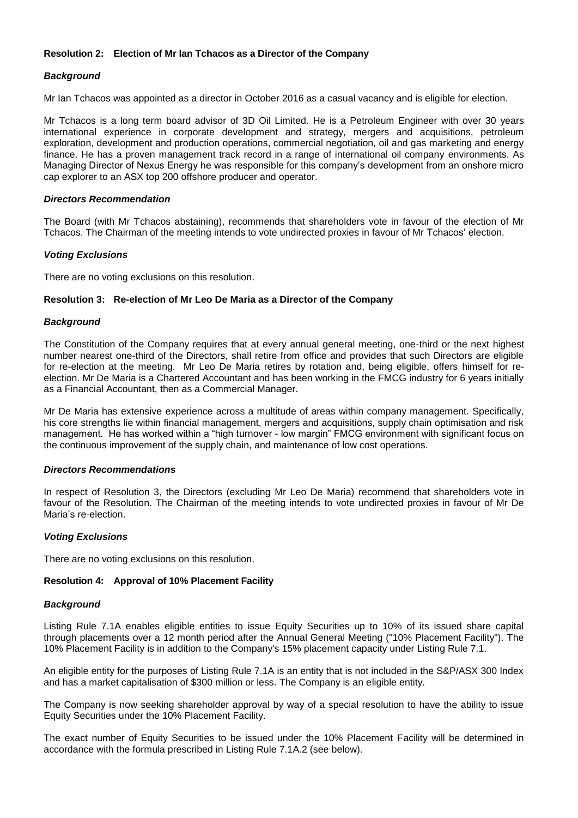#### **Resolution 2: Election of Mr Ian Tchacos as a Director of the Company**

#### *Background*

Mr Ian Tchacos was appointed as a director in October 2016 as a casual vacancy and is eligible for election.

Mr Tchacos is a long term board advisor of 3D Oil Limited. He is a Petroleum Engineer with over 30 years international experience in corporate development and strategy, mergers and acquisitions, petroleum exploration, development and production operations, commercial negotiation, oil and gas marketing and energy finance. He has a proven management track record in a range of international oil company environments. As Managing Director of Nexus Energy he was responsible for this company's development from an onshore micro cap explorer to an ASX top 200 offshore producer and operator.

#### *Directors Recommendation*

The Board (with Mr Tchacos abstaining), recommends that shareholders vote in favour of the election of Mr Tchacos. The Chairman of the meeting intends to vote undirected proxies in favour of Mr Tchacos' election.

#### *Voting Exclusions*

There are no voting exclusions on this resolution.

#### **Resolution 3: Re-election of Mr Leo De Maria as a Director of the Company**

#### *Background*

The Constitution of the Company requires that at every annual general meeting, one-third or the next highest number nearest one-third of the Directors, shall retire from office and provides that such Directors are eligible for re-election at the meeting. Mr Leo De Maria retires by rotation and, being eligible, offers himself for reelection. Mr De Maria is a Chartered Accountant and has been working in the FMCG industry for 6 years initially as a Financial Accountant, then as a Commercial Manager.

Mr De Maria has extensive experience across a multitude of areas within company management. Specifically, his core strengths lie within financial management, mergers and acquisitions, supply chain optimisation and risk management. He has worked within a "high turnover - low margin" FMCG environment with significant focus on the continuous improvement of the supply chain, and maintenance of low cost operations.

#### *Directors Recommendations*

In respect of Resolution 3, the Directors (excluding Mr Leo De Maria) recommend that shareholders vote in favour of the Resolution. The Chairman of the meeting intends to vote undirected proxies in favour of Mr De Maria's re-election.

#### *Voting Exclusions*

There are no voting exclusions on this resolution.

#### **Resolution 4: Approval of 10% Placement Facility**

#### *Background*

Listing Rule 7.1A enables eligible entities to issue Equity Securities up to 10% of its issued share capital through placements over a 12 month period after the Annual General Meeting ("10% Placement Facility"). The 10% Placement Facility is in addition to the Company's 15% placement capacity under Listing Rule 7.1.

An eligible entity for the purposes of Listing Rule 7.1A is an entity that is not included in the S&P/ASX 300 Index and has a market capitalisation of \$300 million or less. The Company is an eligible entity.

The Company is now seeking shareholder approval by way of a special resolution to have the ability to issue Equity Securities under the 10% Placement Facility.

The exact number of Equity Securities to be issued under the 10% Placement Facility will be determined in accordance with the formula prescribed in Listing Rule 7.1A.2 (see below).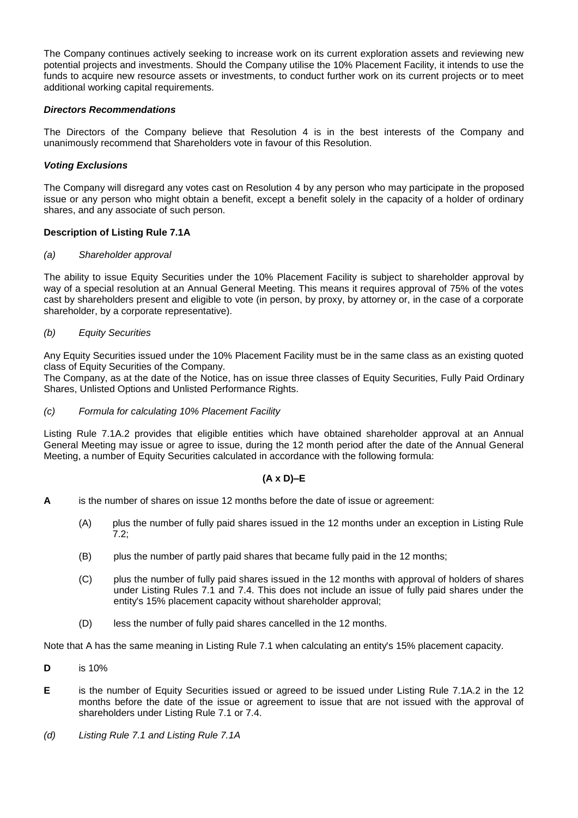The Company continues actively seeking to increase work on its current exploration assets and reviewing new potential projects and investments. Should the Company utilise the 10% Placement Facility, it intends to use the funds to acquire new resource assets or investments, to conduct further work on its current projects or to meet additional working capital requirements.

#### *Directors Recommendations*

The Directors of the Company believe that Resolution 4 is in the best interests of the Company and unanimously recommend that Shareholders vote in favour of this Resolution.

#### *Voting Exclusions*

The Company will disregard any votes cast on Resolution 4 by any person who may participate in the proposed issue or any person who might obtain a benefit, except a benefit solely in the capacity of a holder of ordinary shares, and any associate of such person.

#### **Description of Listing Rule 7.1A**

#### *(a) Shareholder approval*

The ability to issue Equity Securities under the 10% Placement Facility is subject to shareholder approval by way of a special resolution at an Annual General Meeting. This means it requires approval of 75% of the votes cast by shareholders present and eligible to vote (in person, by proxy, by attorney or, in the case of a corporate shareholder, by a corporate representative).

#### *(b) Equity Securities*

Any Equity Securities issued under the 10% Placement Facility must be in the same class as an existing quoted class of Equity Securities of the Company.

The Company, as at the date of the Notice, has on issue three classes of Equity Securities, Fully Paid Ordinary Shares, Unlisted Options and Unlisted Performance Rights.

#### *(c) Formula for calculating 10% Placement Facility*

Listing Rule 7.1A.2 provides that eligible entities which have obtained shareholder approval at an Annual General Meeting may issue or agree to issue, during the 12 month period after the date of the Annual General Meeting, a number of Equity Securities calculated in accordance with the following formula:

#### **(A x D)–E**

- **A** is the number of shares on issue 12 months before the date of issue or agreement:
	- (A) plus the number of fully paid shares issued in the 12 months under an exception in Listing Rule 7.2;
	- (B) plus the number of partly paid shares that became fully paid in the 12 months;
	- (C) plus the number of fully paid shares issued in the 12 months with approval of holders of shares under Listing Rules 7.1 and 7.4. This does not include an issue of fully paid shares under the entity's 15% placement capacity without shareholder approval;
	- (D) less the number of fully paid shares cancelled in the 12 months.

Note that A has the same meaning in Listing Rule 7.1 when calculating an entity's 15% placement capacity.

- **D** is 10%
- **E** is the number of Equity Securities issued or agreed to be issued under Listing Rule 7.1A.2 in the 12 months before the date of the issue or agreement to issue that are not issued with the approval of shareholders under Listing Rule 7.1 or 7.4.
- *(d) Listing Rule 7.1 and Listing Rule 7.1A*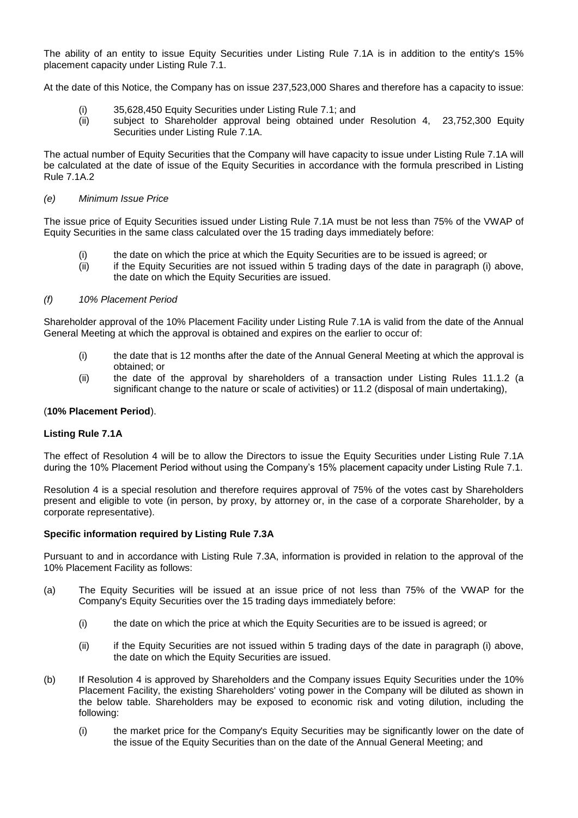The ability of an entity to issue Equity Securities under Listing Rule 7.1A is in addition to the entity's 15% placement capacity under Listing Rule 7.1.

At the date of this Notice, the Company has on issue 237,523,000 Shares and therefore has a capacity to issue:

- (i) 35,628,450 Equity Securities under Listing Rule 7.1; and
- (ii) subject to Shareholder approval being obtained under Resolution 4, 23,752,300 Equity Securities under Listing Rule 7.1A.

The actual number of Equity Securities that the Company will have capacity to issue under Listing Rule 7.1A will be calculated at the date of issue of the Equity Securities in accordance with the formula prescribed in Listing Rule 7.1A.2

#### *(e) Minimum Issue Price*

The issue price of Equity Securities issued under Listing Rule 7.1A must be not less than 75% of the VWAP of Equity Securities in the same class calculated over the 15 trading days immediately before:

- the date on which the price at which the Equity Securities are to be issued is agreed; or
- (ii) if the Equity Securities are not issued within 5 trading days of the date in paragraph (i) above, the date on which the Equity Securities are issued.

#### *(f) 10% Placement Period*

Shareholder approval of the 10% Placement Facility under Listing Rule 7.1A is valid from the date of the Annual General Meeting at which the approval is obtained and expires on the earlier to occur of:

- (i) the date that is 12 months after the date of the Annual General Meeting at which the approval is obtained; or
- (ii) the date of the approval by shareholders of a transaction under Listing Rules 11.1.2 (a significant change to the nature or scale of activities) or 11.2 (disposal of main undertaking),

#### (**10% Placement Period**).

#### **Listing Rule 7.1A**

The effect of Resolution 4 will be to allow the Directors to issue the Equity Securities under Listing Rule 7.1A during the 10% Placement Period without using the Company's 15% placement capacity under Listing Rule 7.1.

Resolution 4 is a special resolution and therefore requires approval of 75% of the votes cast by Shareholders present and eligible to vote (in person, by proxy, by attorney or, in the case of a corporate Shareholder, by a corporate representative).

#### **Specific information required by Listing Rule 7.3A**

Pursuant to and in accordance with Listing Rule 7.3A, information is provided in relation to the approval of the 10% Placement Facility as follows:

- (a) The Equity Securities will be issued at an issue price of not less than 75% of the VWAP for the Company's Equity Securities over the 15 trading days immediately before:
	- (i) the date on which the price at which the Equity Securities are to be issued is agreed; or
	- (ii) if the Equity Securities are not issued within 5 trading days of the date in paragraph (i) above, the date on which the Equity Securities are issued.
- (b) If Resolution 4 is approved by Shareholders and the Company issues Equity Securities under the 10% Placement Facility, the existing Shareholders' voting power in the Company will be diluted as shown in the below table. Shareholders may be exposed to economic risk and voting dilution, including the following:
	- (i) the market price for the Company's Equity Securities may be significantly lower on the date of the issue of the Equity Securities than on the date of the Annual General Meeting; and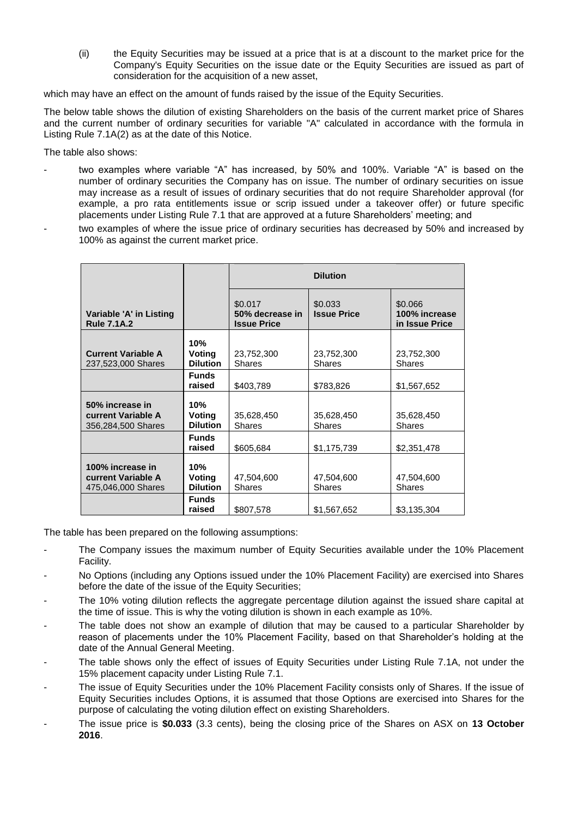(ii) the Equity Securities may be issued at a price that is at a discount to the market price for the Company's Equity Securities on the issue date or the Equity Securities are issued as part of consideration for the acquisition of a new asset,

which may have an effect on the amount of funds raised by the issue of the Equity Securities.

The below table shows the dilution of existing Shareholders on the basis of the current market price of Shares and the current number of ordinary securities for variable "A" calculated in accordance with the formula in Listing Rule 7.1A(2) as at the date of this Notice.

The table also shows:

- two examples where variable "A" has increased, by 50% and 100%. Variable "A" is based on the number of ordinary securities the Company has on issue. The number of ordinary securities on issue may increase as a result of issues of ordinary securities that do not require Shareholder approval (for example, a pro rata entitlements issue or scrip issued under a takeover offer) or future specific placements under Listing Rule 7.1 that are approved at a future Shareholders' meeting; and
- two examples of where the issue price of ordinary securities has decreased by 50% and increased by 100% as against the current market price.

|                                                                     |                                  | <b>Dilution</b>                                  |                               |                                            |  |
|---------------------------------------------------------------------|----------------------------------|--------------------------------------------------|-------------------------------|--------------------------------------------|--|
| Variable 'A' in Listing<br><b>Rule 7.1A.2</b>                       |                                  | \$0.017<br>50% decrease in<br><b>Issue Price</b> | \$0.033<br><b>Issue Price</b> | \$0.066<br>100% increase<br>in Issue Price |  |
| <b>Current Variable A</b><br>237,523,000 Shares                     | 10%<br>Voting<br><b>Dilution</b> | 23,752,300<br><b>Shares</b>                      | 23,752,300<br><b>Shares</b>   | 23,752,300<br><b>Shares</b>                |  |
|                                                                     | <b>Funds</b><br>raised           | \$403,789                                        | \$783,826                     | \$1,567,652                                |  |
| 50% increase in<br><b>current Variable A</b><br>356,284,500 Shares  | 10%<br>Voting<br><b>Dilution</b> | 35,628,450<br><b>Shares</b>                      | 35,628,450<br><b>Shares</b>   | 35,628,450<br><b>Shares</b>                |  |
|                                                                     | <b>Funds</b><br>raised           | \$605,684                                        | \$1,175,739                   | \$2,351,478                                |  |
| 100% increase in<br><b>current Variable A</b><br>475,046,000 Shares | 10%<br>Voting<br><b>Dilution</b> | 47,504,600<br><b>Shares</b>                      | 47,504,600<br><b>Shares</b>   | 47,504,600<br><b>Shares</b>                |  |
|                                                                     | <b>Funds</b><br>raised           | \$807,578                                        | \$1,567,652                   | \$3,135,304                                |  |

The table has been prepared on the following assumptions:

- The Company issues the maximum number of Equity Securities available under the 10% Placement Facility.
- No Options (including any Options issued under the 10% Placement Facility) are exercised into Shares before the date of the issue of the Equity Securities;
- The 10% voting dilution reflects the aggregate percentage dilution against the issued share capital at the time of issue. This is why the voting dilution is shown in each example as 10%.
- The table does not show an example of dilution that may be caused to a particular Shareholder by reason of placements under the 10% Placement Facility, based on that Shareholder's holding at the date of the Annual General Meeting.
- The table shows only the effect of issues of Equity Securities under Listing Rule 7.1A, not under the 15% placement capacity under Listing Rule 7.1.
- The issue of Equity Securities under the 10% Placement Facility consists only of Shares. If the issue of Equity Securities includes Options, it is assumed that those Options are exercised into Shares for the purpose of calculating the voting dilution effect on existing Shareholders.
- The issue price is **\$0.033** (3.3 cents), being the closing price of the Shares on ASX on **13 October 2016**.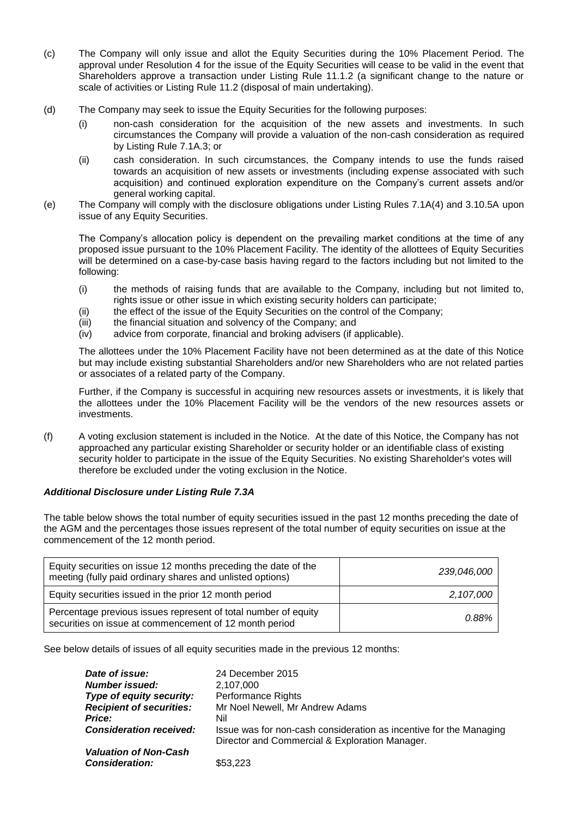- (c) The Company will only issue and allot the Equity Securities during the 10% Placement Period. The approval under Resolution 4 for the issue of the Equity Securities will cease to be valid in the event that Shareholders approve a transaction under Listing Rule 11.1.2 (a significant change to the nature or scale of activities or Listing Rule 11.2 (disposal of main undertaking).
- (d) The Company may seek to issue the Equity Securities for the following purposes:
	- (i) non-cash consideration for the acquisition of the new assets and investments. In such circumstances the Company will provide a valuation of the non-cash consideration as required by Listing Rule 7.1A.3; or
	- (ii) cash consideration. In such circumstances, the Company intends to use the funds raised towards an acquisition of new assets or investments (including expense associated with such acquisition) and continued exploration expenditure on the Company's current assets and/or general working capital.
- (e) The Company will comply with the disclosure obligations under Listing Rules 7.1A(4) and 3.10.5A upon issue of any Equity Securities.

The Company's allocation policy is dependent on the prevailing market conditions at the time of any proposed issue pursuant to the 10% Placement Facility. The identity of the allottees of Equity Securities will be determined on a case-by-case basis having regard to the factors including but not limited to the following:

- (i) the methods of raising funds that are available to the Company, including but not limited to, rights issue or other issue in which existing security holders can participate;
- (ii) the effect of the issue of the Equity Securities on the control of the Company;
- (iii) the financial situation and solvency of the Company; and
- (iv) advice from corporate, financial and broking advisers (if applicable).

The allottees under the 10% Placement Facility have not been determined as at the date of this Notice but may include existing substantial Shareholders and/or new Shareholders who are not related parties or associates of a related party of the Company.

Further, if the Company is successful in acquiring new resources assets or investments, it is likely that the allottees under the 10% Placement Facility will be the vendors of the new resources assets or investments.

(f) A voting exclusion statement is included in the Notice. At the date of this Notice, the Company has not approached any particular existing Shareholder or security holder or an identifiable class of existing security holder to participate in the issue of the Equity Securities. No existing Shareholder's votes will therefore be excluded under the voting exclusion in the Notice.

#### *Additional Disclosure under Listing Rule 7.3A*

The table below shows the total number of equity securities issued in the past 12 months preceding the date of the AGM and the percentages those issues represent of the total number of equity securities on issue at the commencement of the 12 month period.

| Equity securities on issue 12 months preceding the date of the<br>meeting (fully paid ordinary shares and unlisted options) | 239,046,000 |
|-----------------------------------------------------------------------------------------------------------------------------|-------------|
| Equity securities issued in the prior 12 month period                                                                       | 2,107,000   |
| Percentage previous issues represent of total number of equity<br>securities on issue at commencement of 12 month period    | 0.88%       |

See below details of issues of all equity securities made in the previous 12 months:

| Date of issue:                  | 24 December 2015                                                   |
|---------------------------------|--------------------------------------------------------------------|
| Number issued:                  | 2,107,000                                                          |
| Type of equity security:        | <b>Performance Rights</b>                                          |
| <b>Recipient of securities:</b> | Mr Noel Newell, Mr Andrew Adams                                    |
| <b>Price:</b>                   | Nil                                                                |
| <b>Consideration received:</b>  | Issue was for non-cash consideration as incentive for the Managing |
|                                 | Director and Commercial & Exploration Manager.                     |
| <b>Valuation of Non-Cash</b>    |                                                                    |
| <b>Consideration:</b>           | \$53,223                                                           |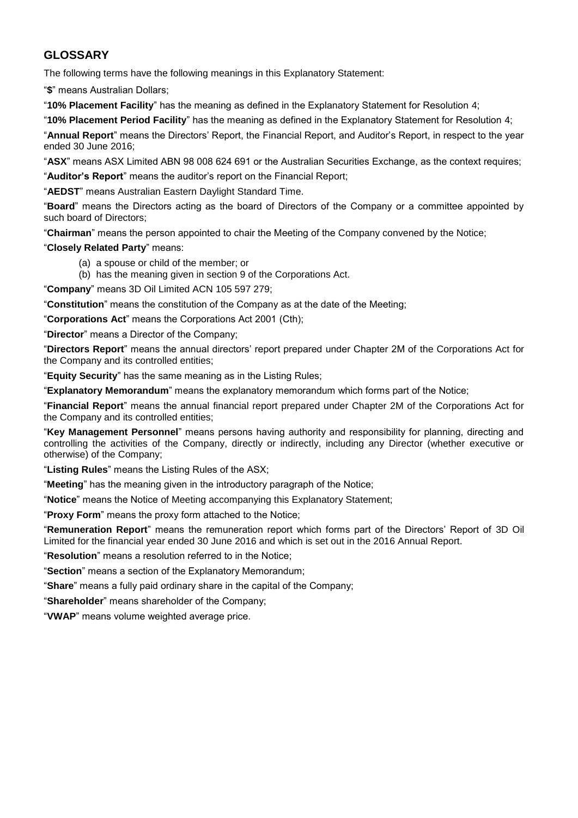## **GLOSSARY**

The following terms have the following meanings in this Explanatory Statement:

"**\$**" means Australian Dollars;

"**10% Placement Facility**" has the meaning as defined in the Explanatory Statement for Resolution 4;

"**10% Placement Period Facility**" has the meaning as defined in the Explanatory Statement for Resolution 4;

"**Annual Report**" means the Directors' Report, the Financial Report, and Auditor's Report, in respect to the year ended 30 June 2016;

"**ASX**" means ASX Limited ABN 98 008 624 691 or the Australian Securities Exchange, as the context requires;

"**Auditor's Report**" means the auditor's report on the Financial Report;

"**AEDST**" means Australian Eastern Daylight Standard Time.

"**Board**" means the Directors acting as the board of Directors of the Company or a committee appointed by such board of Directors;

"**Chairman**" means the person appointed to chair the Meeting of the Company convened by the Notice;

"**Closely Related Party**" means:

- (a) a spouse or child of the member; or
- (b) has the meaning given in section 9 of the Corporations Act.

"**Company**" means 3D Oil Limited ACN 105 597 279;

"**Constitution**" means the constitution of the Company as at the date of the Meeting;

"**Corporations Act**" means the Corporations Act 2001 (Cth);

"**Director**" means a Director of the Company;

"**Directors Report**" means the annual directors' report prepared under Chapter 2M of the Corporations Act for the Company and its controlled entities;

"**Equity Security**" has the same meaning as in the Listing Rules;

"**Explanatory Memorandum**" means the explanatory memorandum which forms part of the Notice;

"**Financial Report**" means the annual financial report prepared under Chapter 2M of the Corporations Act for the Company and its controlled entities;

"**Key Management Personnel**" means persons having authority and responsibility for planning, directing and controlling the activities of the Company, directly or indirectly, including any Director (whether executive or otherwise) of the Company;

"**Listing Rules**" means the Listing Rules of the ASX;

"**Meeting**" has the meaning given in the introductory paragraph of the Notice;

"**Notice**" means the Notice of Meeting accompanying this Explanatory Statement;

"**Proxy Form**" means the proxy form attached to the Notice;

"**Remuneration Report**" means the remuneration report which forms part of the Directors' Report of 3D Oil Limited for the financial year ended 30 June 2016 and which is set out in the 2016 Annual Report.

"**Resolution**" means a resolution referred to in the Notice;

"**Section**" means a section of the Explanatory Memorandum;

"**Share**" means a fully paid ordinary share in the capital of the Company;

"**Shareholder**" means shareholder of the Company;

"**VWAP**" means volume weighted average price.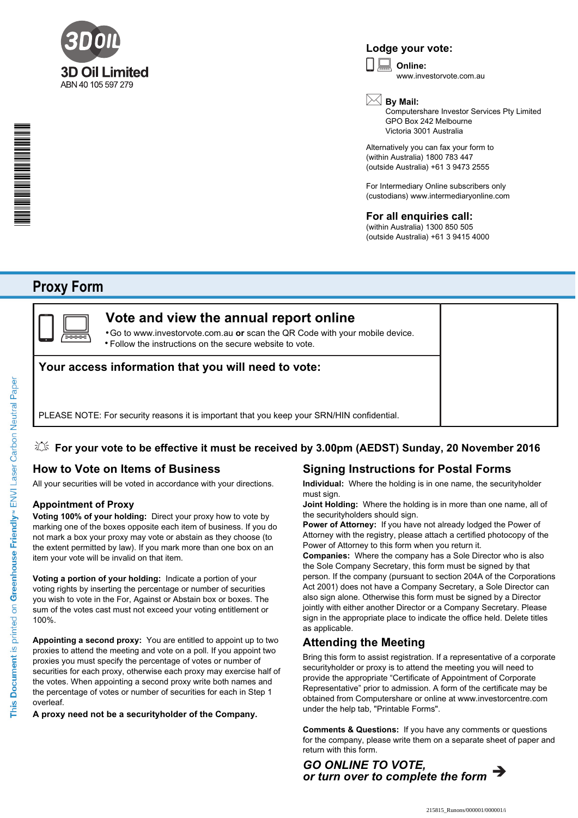

## **Lodge your vote:**

**Online:** www.investorvote.com.au  $\boxed{\Box}$ 

\*S000001Q01\*

## **By Mail:**

Computershare Investor Services Pty Limited GPO Box 242 Melbourne Victoria 3001 Australia

Alternatively you can fax your form to (within Australia) 1800 783 447 (outside Australia) +61 3 9473 2555

For Intermediary Online subscribers only (custodians) www.intermediaryonline.com

## **For all enquiries call:**

(within Australia) 1300 850 505 (outside Australia) +61 3 9415 4000

## **Proxy Form**



## **Vote and view the annual report online**

Go to www.investorvote.com.au **or** scan the QR Code with your mobile device. Follow the instructions on the secure website to vote. •

## **Your access information that you will need to vote:**

PLEASE NOTE: For security reasons it is important that you keep your SRN/HIN confidential.

### **For your vote to be effective it must be received by 3.00pm (AEDST) Sunday, 20 November 2016**

## **How to Vote on Items of Business**

All your securities will be voted in accordance with your directions.

#### **Appointment of Proxy**

**Voting 100% of your holding:** Direct your proxy how to vote by marking one of the boxes opposite each item of business. If you do not mark a box your proxy may vote or abstain as they choose (to the extent permitted by law). If you mark more than one box on an item your vote will be invalid on that item.

**Voting a portion of your holding:** Indicate a portion of your voting rights by inserting the percentage or number of securities you wish to vote in the For, Against or Abstain box or boxes. The sum of the votes cast must not exceed your voting entitlement or 100%.

**Appointing a second proxy:** You are entitled to appoint up to two proxies to attend the meeting and vote on a poll. If you appoint two proxies you must specify the percentage of votes or number of securities for each proxy, otherwise each proxy may exercise half of the votes. When appointing a second proxy write both names and the percentage of votes or number of securities for each in Step 1 overleaf.

**A proxy need not be a securityholder of the Company.**

## **Signing Instructions for Postal Forms**

**Individual:** Where the holding is in one name, the securityholder must sign.

**Joint Holding:** Where the holding is in more than one name, all of the securityholders should sign.

**Power of Attorney:** If you have not already lodged the Power of Attorney with the registry, please attach a certified photocopy of the Power of Attorney to this form when you return it.

**Companies:** Where the company has a Sole Director who is also the Sole Company Secretary, this form must be signed by that person. If the company (pursuant to section 204A of the Corporations Act 2001) does not have a Company Secretary, a Sole Director can also sign alone. Otherwise this form must be signed by a Director jointly with either another Director or a Company Secretary. Please sign in the appropriate place to indicate the office held. Delete titles as applicable.

### **Attending the Meeting**

Bring this form to assist registration. If a representative of a corporate securityholder or proxy is to attend the meeting you will need to provide the appropriate "Certificate of Appointment of Corporate Representative" prior to admission. A form of the certificate may be obtained from Computershare or online at www.investorcentre.com under the help tab, "Printable Forms".

**Comments & Questions:** If you have any comments or questions for the company, please write them on a separate sheet of paper and return with this form.